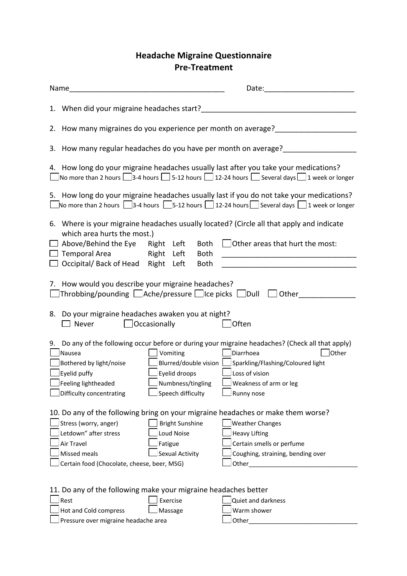## **Headache Migraine Questionnaire Pre-Treatment**

| Name                                                                                                                                                                                                                  |                                           |                                                                                                                                                                                                                    |  |
|-----------------------------------------------------------------------------------------------------------------------------------------------------------------------------------------------------------------------|-------------------------------------------|--------------------------------------------------------------------------------------------------------------------------------------------------------------------------------------------------------------------|--|
| 1. When did your migraine headaches start?                                                                                                                                                                            |                                           |                                                                                                                                                                                                                    |  |
| 2. How many migraines do you experience per month on average?<br>2. How many migraines do you experience per month on average?                                                                                        |                                           |                                                                                                                                                                                                                    |  |
| 3. How many regular headaches do you have per month on average?                                                                                                                                                       |                                           |                                                                                                                                                                                                                    |  |
| 4. How long do your migraine headaches usually last after you take your medications?<br>$\Box$ No more than 2 hours $\Box$ 3-4 hours $\Box$ 5-12 hours $\Box$ 12-24 hours $\Box$ Several days $\Box$ 1 week or longer |                                           |                                                                                                                                                                                                                    |  |
|                                                                                                                                                                                                                       |                                           | 5. How long do your migraine headaches usually last if you do not take your medications?<br>No more than 2 hours $\Box$ 3-4 hours $\Box$ 5-12 hours $\Box$ 12-24 hours $\Box$ Several days $\Box$ 1 week or longer |  |
| which area hurts the most.)                                                                                                                                                                                           |                                           | 6. Where is your migraine headaches usually located? (Circle all that apply and indicate                                                                                                                           |  |
| $\Box$ Above/Behind the Eye Right Left<br>$\Box$ Temporal Area Right Left                                                                                                                                             | Both<br>Both                              | $\Box$ Other areas that hurt the most:                                                                                                                                                                             |  |
| □ Occipital/ Back of Head Right Left                                                                                                                                                                                  | <b>Both</b>                               |                                                                                                                                                                                                                    |  |
| 7. How would you describe your migraine headaches?<br>Throbbing/pounding $\Box$ Ache/pressure $\Box$ Ice picks $\Box$ Dull $\Box$ Other                                                                               |                                           |                                                                                                                                                                                                                    |  |
| 8. Do your migraine headaches awaken you at night?<br>$\Box$ Never                                                                                                                                                    | $\Box$ Occasionally                       | $\Box$ Often                                                                                                                                                                                                       |  |
| Nausea                                                                                                                                                                                                                | Vomiting                                  | 9. Do any of the following occur before or during your migraine headaches? (Check all that apply)<br>$\Box$ Diarrhoea<br><b>J</b> Other                                                                            |  |
| Bothered by light/noise                                                                                                                                                                                               |                                           | Blurred/double vision LSparkling/Flashing/Coloured light                                                                                                                                                           |  |
| Eyelid puffy<br>Feeling lightheaded                                                                                                                                                                                   | $\Box$ Eyelid droops<br>Numbness/tingling | $L$ Loss of vision<br>Weakness of arm or leg                                                                                                                                                                       |  |
| Difficulty concentrating                                                                                                                                                                                              | Speech difficulty                         | Runny nose                                                                                                                                                                                                         |  |
| 10. Do any of the following bring on your migraine headaches or make them worse?                                                                                                                                      |                                           |                                                                                                                                                                                                                    |  |
| Stress (worry, anger)                                                                                                                                                                                                 | <b>Bright Sunshine</b>                    | <b>Weather Changes</b>                                                                                                                                                                                             |  |
| Letdown" after stress                                                                                                                                                                                                 | Loud Noise                                | <b>Heavy Lifting</b>                                                                                                                                                                                               |  |
| Air Travel                                                                                                                                                                                                            | Fatigue                                   | Certain smells or perfume                                                                                                                                                                                          |  |
| Missed meals                                                                                                                                                                                                          | Sexual Activity                           | Coughing, straining, bending over                                                                                                                                                                                  |  |
| Other<br>Certain food (Chocolate, cheese, beer, MSG)                                                                                                                                                                  |                                           |                                                                                                                                                                                                                    |  |
| 11. Do any of the following make your migraine headaches better                                                                                                                                                       |                                           |                                                                                                                                                                                                                    |  |
| Rest                                                                                                                                                                                                                  | Exercise                                  | Quiet and darkness                                                                                                                                                                                                 |  |
| Hot and Cold compress                                                                                                                                                                                                 | Massage                                   | Warm shower                                                                                                                                                                                                        |  |
| Pressure over migraine headache area                                                                                                                                                                                  |                                           | Other                                                                                                                                                                                                              |  |